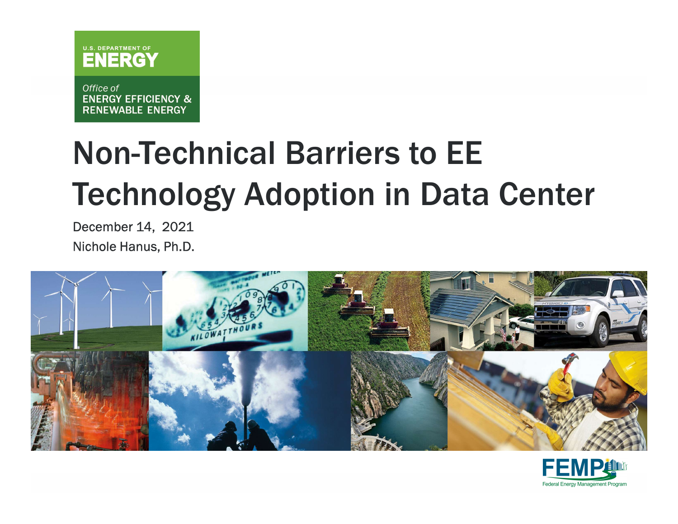

Office of **ENERGY EFFICIENCY & RENEWABLE ENERGY** 

# Non-Technical Barriers to EE Technology Adoption in Data Center

December 14, 2021 Nichole Hanus, Ph.D.



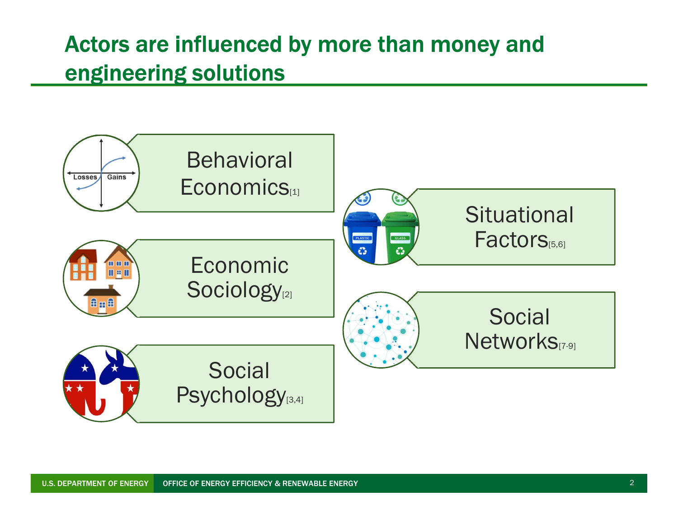### Actors are influenced by more than money and engineering solutions

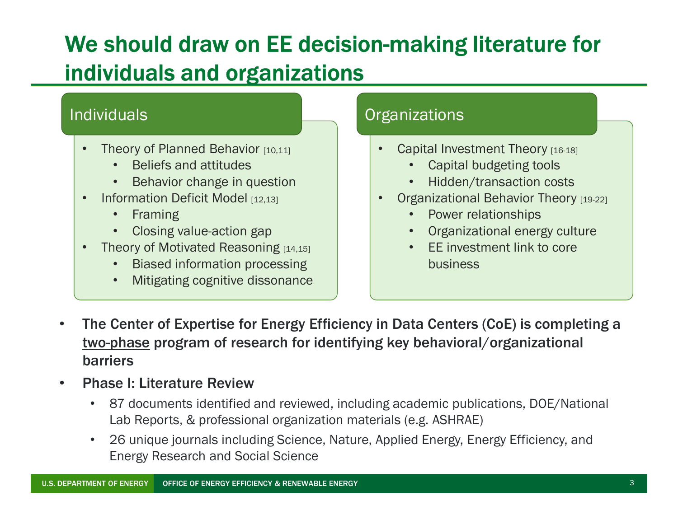### We should draw on EE decision-making literature for individuals and organizations

### **Individuals**

- **Theory of Planned Behavior [10,11]** 
	- Beliefs and attitudes
	- Behavior change in question
- Information Deficit Model [12,13]
	- Framing
	- Closing value-action gap
- Theory of Motivated Reasoning [14,15]
	- Biased information processing
	- Mitigating cognitive dissonance

### **Organizations**

- Capital Investment Theory [16-18]
	- Capital budgeting tools
	- Hidden/transaction costs
- **Organizational Behavior Theory [19-22]** 
	- Power relationships
	- Organizational energy culture
	- EE investment link to core business
- The Center of Expertise for Energy Efficiency in Data Centers (CoE) is completing a the Center of Expertise for Energy Efficiency in Data Centers (CoE) is completing a<br>
based information program of research for identifying key behavioral energy culture<br>
The Center of Expertise for Energy Efficiency in D barriers
- Phase I: Literature Review
	- 87 documents identified and reviewed, including academic publications, DOE/National Lab Reports, & professional organization materials (e.g. ASHRAE)
	- 26 unique journals including Science, Nature, Applied Energy, Energy Efficiency, and Energy Research and Social Science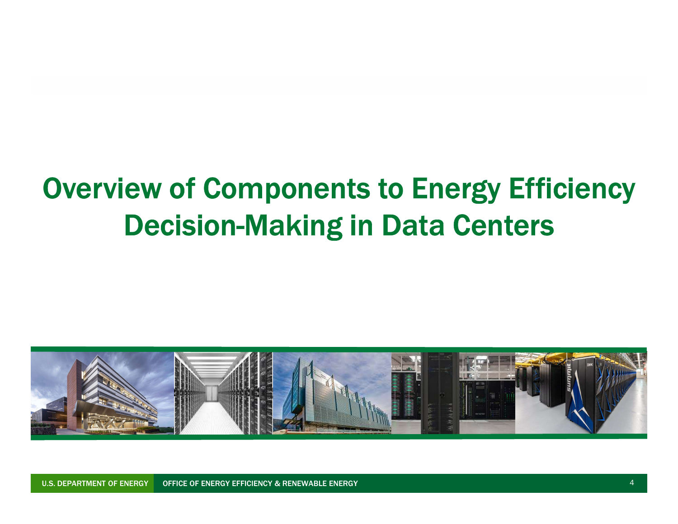# Overview of Components to Energy Efficiency Decision-Making in Data Centers



U.S. DEPARTMENT OF ENERGY | OFFICE OF ENERGY EFFICIENCY & RENEWABLE ENERGY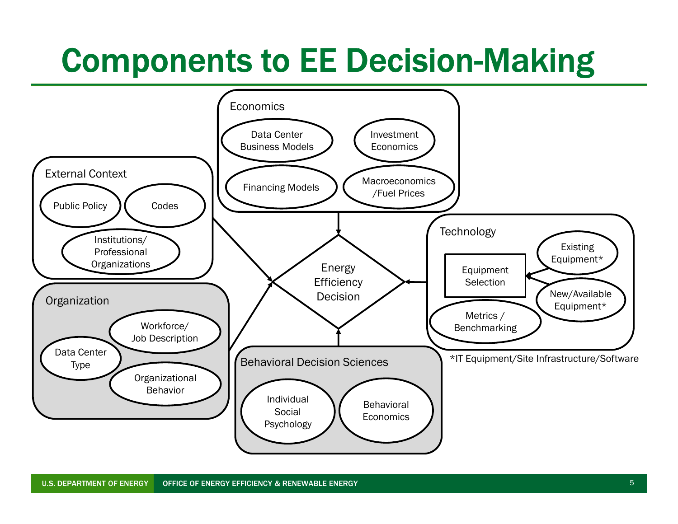# Components to EE Decision-Making

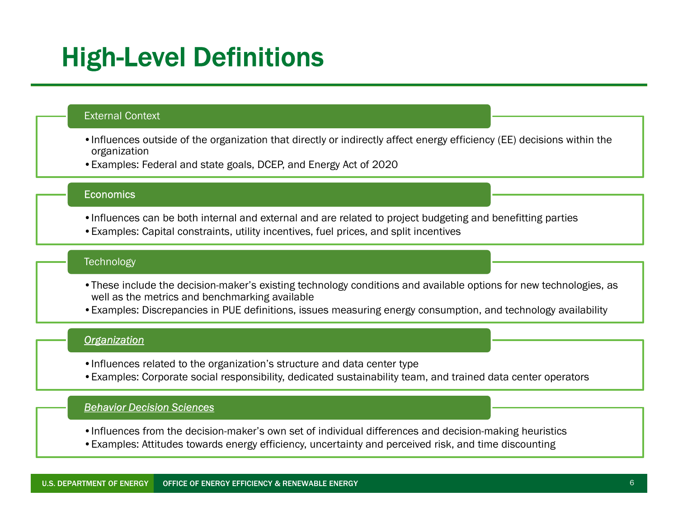## High-Level Definitions

#### External Context

- •Influences outside of the organization that directly or indirectly affect energy efficiency (EE) decisions within the organization
- •Examples: Federal and state goals, DCEP, and Energy Act of 2020

#### **Economics**

- •Influences can be both internal and external and are related to project budgeting and benefitting parties
- •Examples: Capital constraints, utility incentives, fuel prices, and split incentives

#### **Technology**

- •These include the decision-maker's existing technology conditions and available options for new technologies, as well as the metrics and benchmarking available
- •Examples: Discrepancies in PUE definitions, issues measuring energy consumption, and technology availability

#### **Organization**

- •Influences related to the organization's structure and data center type
- •Examples: Corporate social responsibility, dedicated sustainability team, and trained data center operators

#### Behavior Decision Sciences

- •Influences from the decision-maker's own set of individual differences and decision-making heuristics
- •Examples: Attitudes towards energy efficiency, uncertainty and perceived risk, and time discounting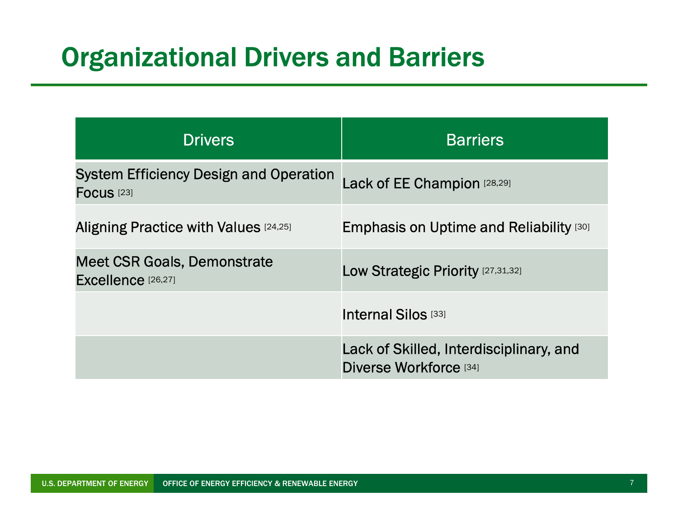## Organizational Drivers and Barriers

| <b>Drganizational Drivers and Barriers</b>                             |                                                |  |  |  |
|------------------------------------------------------------------------|------------------------------------------------|--|--|--|
|                                                                        |                                                |  |  |  |
| <b>Drivers</b>                                                         | <b>Barriers</b>                                |  |  |  |
| <b>System Efficiency Design and Operation</b><br>Focus <sup>[23]</sup> | Lack of EE Champion [28,29]                    |  |  |  |
| Aligning Practice with Values [24,25]                                  | <b>Emphasis on Uptime and Reliability [30]</b> |  |  |  |
| <b>Meet CSR Goals, Demonstrate</b><br>Excellence [26,27]               | Low Strategic Priority [27,31,32]              |  |  |  |
|                                                                        | Internal Silos [33]                            |  |  |  |
|                                                                        | Lack of Skilled, Interdisciplinary, and        |  |  |  |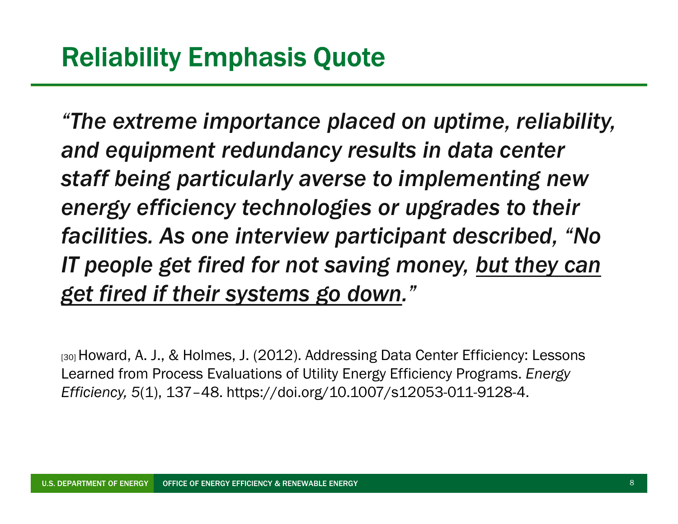"The extreme importance placed on uptime, reliability, and equipment redundancy results in data center staff being particularly averse to implementing new energy efficiency technologies or upgrades to their facilities. As one interview participant described, "No IT people get fired for not saving money, but they can get fired if their systems go down." and equipment redundancy results in data center<br>staff being particularly averse to implementing new<br>energy efficiency technologies or upgrades to their<br>facilities. As one interview participant described, "No<br>IT people get staff being particularly averse to implementin<br>energy efficiency technologies or upgrades to<br>facilities. As one interview participant describer<br>if people get fired for not saving money, <u>but the</u><br>get fired if their systems

Learned from Process Evaluations of Utility Energy Efficiency Programs. Energy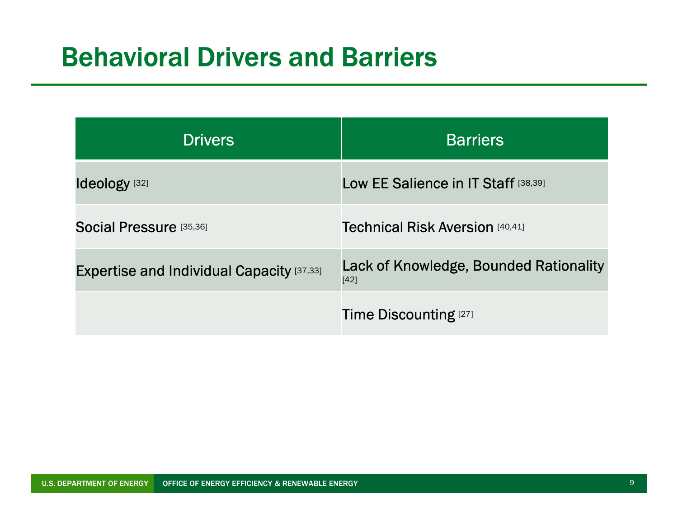## Behavioral Drivers and Barriers

| <b>Sehavioral Drivers and Barriers</b>    |                                                  |  |  |  |
|-------------------------------------------|--------------------------------------------------|--|--|--|
|                                           |                                                  |  |  |  |
|                                           |                                                  |  |  |  |
| <b>Drivers</b>                            | <b>Barriers</b>                                  |  |  |  |
| Ideology <sup>[32]</sup>                  | Low EE Salience in IT Staff [38,39]              |  |  |  |
|                                           |                                                  |  |  |  |
| Social Pressure [35,36]                   | <b>Technical Risk Aversion [40,41]</b>           |  |  |  |
| Expertise and Individual Capacity [37,33] | Lack of Knowledge, Bounded Rationality<br>$[42]$ |  |  |  |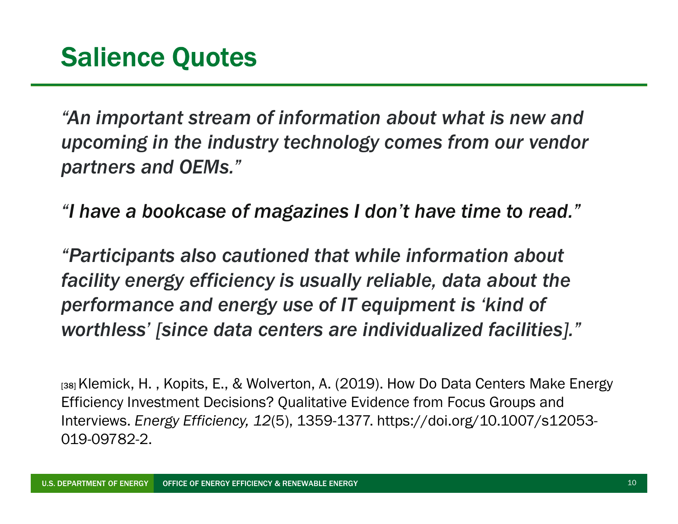"An important stream of information about what is new and upcoming in the industry technology comes from our vendor partners and OEMs."

"I have a bookcase of magazines I don't have time to read."

"Participants also cautioned that while information about facility energy efficiency is usually reliable, data about the performance and energy use of IT equipment is 'kind of worthless' [since data centers are individualized facilities]."

 $_{[38]}$  Klemick, H., Kopits, E., & Wolverton, A. (2019). How Do Data Centers Make Energy Efficiency Investment Decisions? Qualitative Evidence from Focus Groups and Interviews. Energy Efficiency, 12(5), 1359-1377. https://doi.org/10.1007/s12053- 019-09782-2.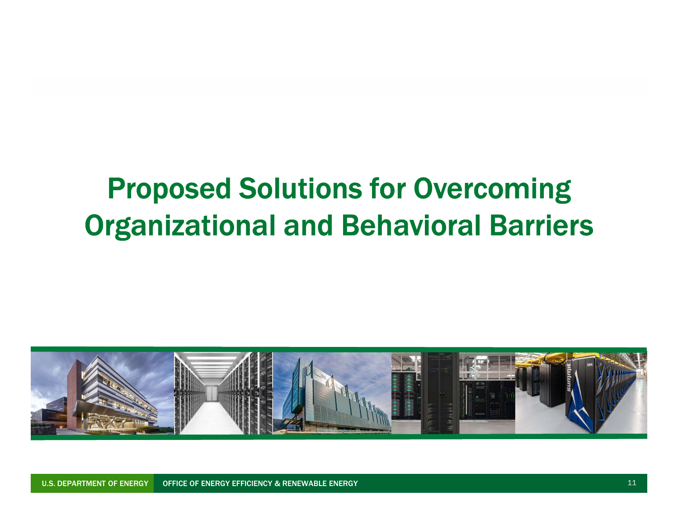# Proposed Solutions for Overcoming Organizational and Behavioral Barriers



U.S. DEPARTMENT OF ENERGY OFFICE OF ENERGY EFFICIENCY & RENEWABLE ENERGY 11 And 11 And 11 And 11 And 11 And 11 And 11 And 11 And 11 And 11 And 11 And 11 And 11 And 11 And 11 And 11 And 11 And 11 And 11 And 11 And 11 And 11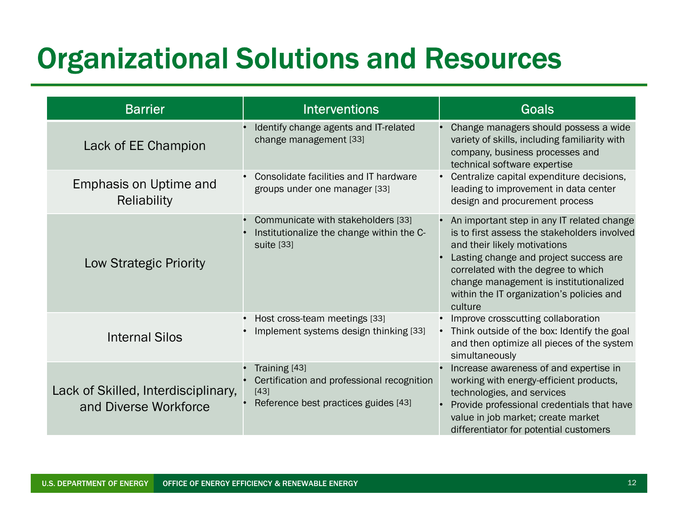# Organizational Solutions and Resources

| <b>Organizational Solutions and Resources</b>                |                                                                                                                   |                                                                                                                                                                                                                                                                                                               |
|--------------------------------------------------------------|-------------------------------------------------------------------------------------------------------------------|---------------------------------------------------------------------------------------------------------------------------------------------------------------------------------------------------------------------------------------------------------------------------------------------------------------|
| <b>Barrier</b>                                               | <b>Interventions</b>                                                                                              | Goals                                                                                                                                                                                                                                                                                                         |
| Lack of EE Champion                                          | • Identify change agents and IT-related<br>change management [33]                                                 | Change managers should possess a wide<br>variety of skills, including familiarity with<br>company, business processes and<br>technical software expertise                                                                                                                                                     |
| Emphasis on Uptime and<br>Reliability                        | • Consolidate facilities and IT hardware<br>groups under one manager [33]                                         | • Centralize capital expenditure decisions,<br>leading to improvement in data center<br>design and procurement process                                                                                                                                                                                        |
| Low Strategic Priority                                       | • Communicate with stakeholders [33]<br>Institutionalize the change within the C-<br>suite [33]                   | An important step in any IT related change<br>is to first assess the stakeholders involved<br>and their likely motivations<br>Lasting change and project success are<br>correlated with the degree to which<br>change management is institutionalized<br>within the IT organization's policies and<br>culture |
| <b>Internal Silos</b>                                        | • Host cross-team meetings [33]<br>• Implement systems design thinking [33]                                       | Improve crosscutting collaboration<br>Think outside of the box: Identify the goal<br>and then optimize all pieces of the system<br>simultaneously                                                                                                                                                             |
| Lack of Skilled, Interdisciplinary,<br>and Diverse Workforce | • Training [43]<br>Certification and professional recognition<br>$[43]$<br>• Reference best practices guides [43] | Increase awareness of and expertise in<br>working with energy-efficient products,<br>technologies, and services<br>Provide professional credentials that have<br>value in job market; create market<br>differentiator for potential customers                                                                 |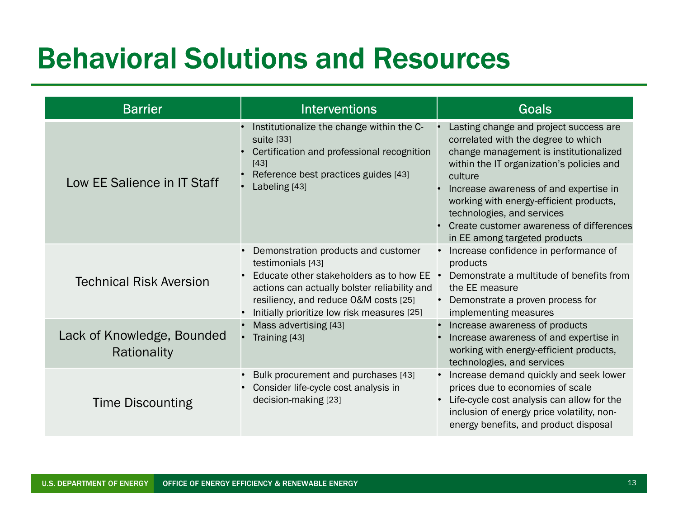## Behavioral Solutions and Resources

| <b>Barrier</b>                            | <b>Interventions</b>                                                                                                                                                                                                                          | <b>Goals</b>                                                                                                                                                                                                                                                                                                                                                                    |
|-------------------------------------------|-----------------------------------------------------------------------------------------------------------------------------------------------------------------------------------------------------------------------------------------------|---------------------------------------------------------------------------------------------------------------------------------------------------------------------------------------------------------------------------------------------------------------------------------------------------------------------------------------------------------------------------------|
| Low EE Salience in IT Staff               | • Institutionalize the change within the C-<br>suite [33]<br>• Certification and professional recognition<br>$[43]$<br>Reference best practices guides [43]<br>Labeling [43]                                                                  | Lasting change and project success are<br>correlated with the degree to which<br>change management is institutionalized<br>within the IT organization's policies and<br>culture<br>Increase awareness of and expertise in<br>working with energy-efficient products,<br>technologies, and services<br>Create customer awareness of differences<br>in EE among targeted products |
| <b>Technical Risk Aversion</b>            | Demonstration products and customer<br>testimonials [43]<br>Educate other stakeholders as to how EE<br>actions can actually bolster reliability and<br>resiliency, and reduce O&M costs [25]<br>• Initially prioritize low risk measures [25] | • Increase confidence in performance of<br>products<br>Demonstrate a multitude of benefits from<br>the EE measure<br>• Demonstrate a proven process for<br>implementing measures                                                                                                                                                                                                |
| Lack of Knowledge, Bounded<br>Rationality | • Mass advertising [43]<br>• Training [43]                                                                                                                                                                                                    | • Increase awareness of products<br>Increase awareness of and expertise in<br>working with energy-efficient products,<br>technologies, and services                                                                                                                                                                                                                             |
| <b>Time Discounting</b>                   | Bulk procurement and purchases [43]<br>• Consider life-cycle cost analysis in<br>decision-making [23]                                                                                                                                         | • Increase demand quickly and seek lower<br>prices due to economies of scale<br>Life-cycle cost analysis can allow for the<br>inclusion of energy price volatility, non-<br>energy benefits, and product disposal                                                                                                                                                               |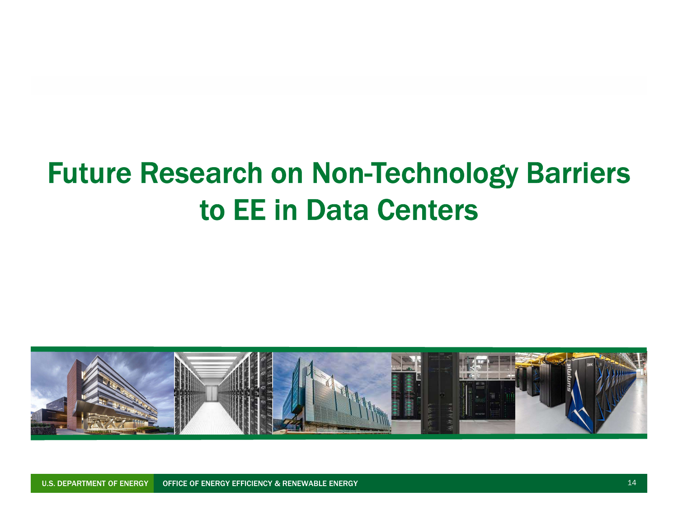# Future Research on Non-Technology Barriers to EE in Data Centers



U.S. DEPARTMENT OF ENERGY OFFICE OF ENERGY EFFICIENCY & RENEWABLE ENERGY AND THE RESERVE THAT IS A RELEASED OF THE RESERVE THAT IS A RESERVED OF THE RESERVED OF THE RESERVED OF THE RESERVED OF THE RESERVED OF THE RESERVED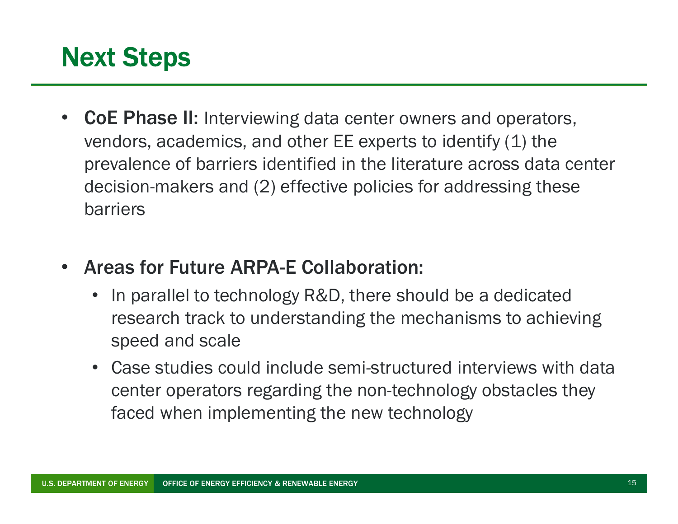## Next Steps

- **Processed Steps**<br>• CoE Phase II: Interviewing data center owners and operators,<br>vendors, academics, and other EE experts to identify (1) the<br>prevalence of barriers identified in the literature across data center vendors, academics, and other  $EE$  experts to identify  $(1)$  the prevalence of barriers identified in the literature across data center decision-makers and (2) effective policies for addressing these barriers
- Areas for Future ARPA-E Collaboration:
	- In parallel to technology R&D, there should be a dedicated research track to understanding the mechanisms to achieving speed and scale
	- Case studies could include semi-structured interviews with data center operators regarding the non-technology obstacles they faced when implementing the new technology